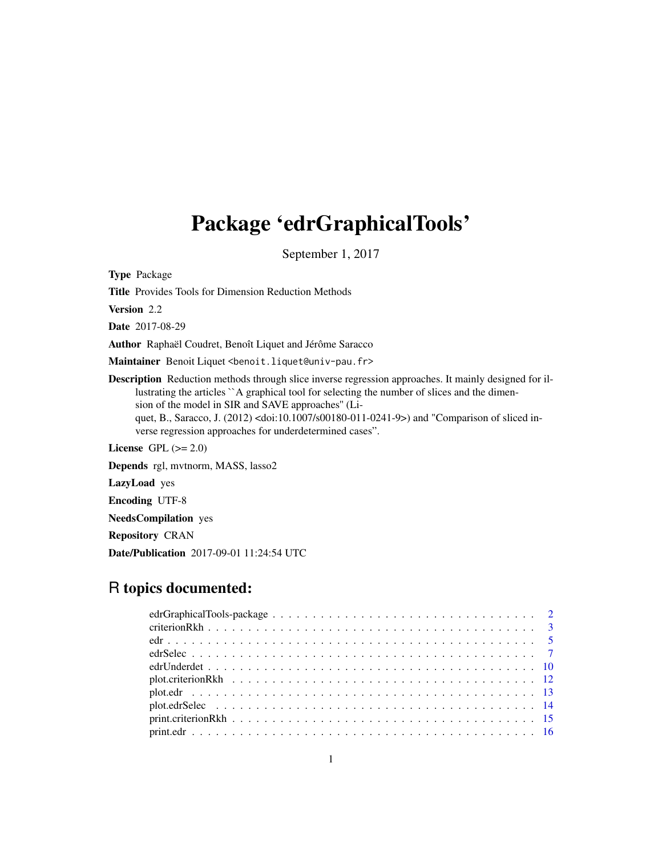# Package 'edrGraphicalTools'

September 1, 2017

Type Package

Title Provides Tools for Dimension Reduction Methods

Version 2.2

Date 2017-08-29

Author Raphaël Coudret, Benoît Liquet and Jérôme Saracco

Maintainer Benoit Liquet <benoit.liquet@univ-pau.fr>

Description Reduction methods through slice inverse regression approaches. It mainly designed for illustrating the articles ``A graphical tool for selecting the number of slices and the dimension of the model in SIR and SAVE approaches'' (Liquet, B., Saracco, J. (2012) <doi:10.1007/s00180-011-0241-9>) and "Comparison of sliced inverse regression approaches for underdetermined cases".

License GPL  $(>= 2.0)$ 

Depends rgl, mvtnorm, MASS, lasso2

LazyLoad yes

Encoding UTF-8

NeedsCompilation yes

Repository CRAN

Date/Publication 2017-09-01 11:24:54 UTC

# R topics documented: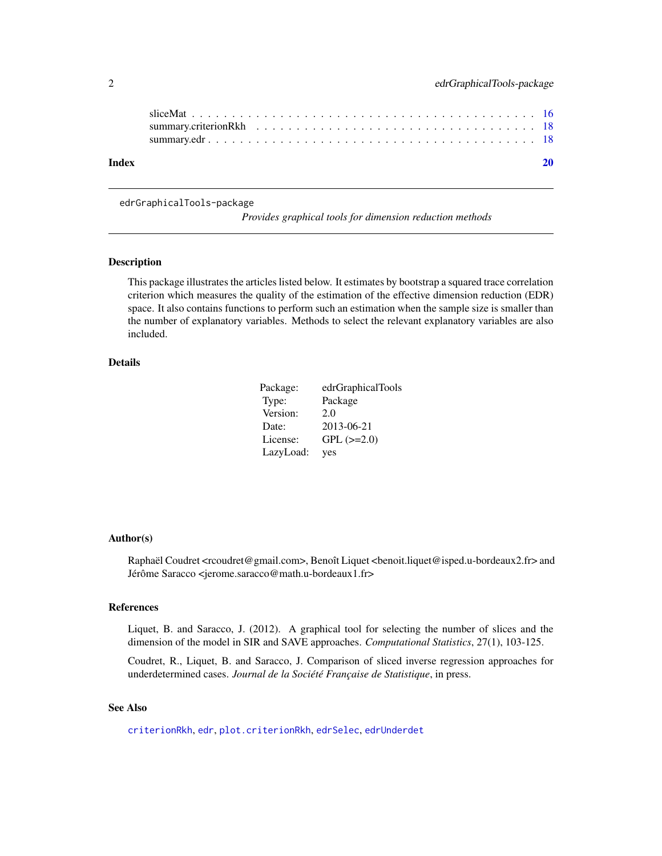<span id="page-1-0"></span>

| Index |  |  |  |  |  |  |  |  |  |  |  |  |  |  |  |  |
|-------|--|--|--|--|--|--|--|--|--|--|--|--|--|--|--|--|

edrGraphicalTools-package

*Provides graphical tools for dimension reduction methods*

## Description

This package illustrates the articles listed below. It estimates by bootstrap a squared trace correlation criterion which measures the quality of the estimation of the effective dimension reduction (EDR) space. It also contains functions to perform such an estimation when the sample size is smaller than the number of explanatory variables. Methods to select the relevant explanatory variables are also included.

## Details

| Package:  | edrGraphicalTools |
|-----------|-------------------|
| Type:     | Package           |
| Version:  | 2.0               |
| Date:     | 2013-06-21        |
| License:  | $GPL$ ( $>=2.0$ ) |
| LazyLoad: | yes               |

#### Author(s)

Raphaël Coudret < rcoudret@gmail.com>, Benoît Liquet < benoit.liquet@isped.u-bordeaux2.fr> and Jérôme Saracco <jerome.saracco@math.u-bordeaux1.fr>

#### References

Liquet, B. and Saracco, J. (2012). A graphical tool for selecting the number of slices and the dimension of the model in SIR and SAVE approaches. *Computational Statistics*, 27(1), 103-125.

Coudret, R., Liquet, B. and Saracco, J. Comparison of sliced inverse regression approaches for underdetermined cases. *Journal de la Société Française de Statistique*, in press.

# See Also

[criterionRkh](#page-2-1), [edr](#page-4-1), [plot.criterionRkh](#page-11-1), [edrSelec](#page-6-1), [edrUnderdet](#page-9-1)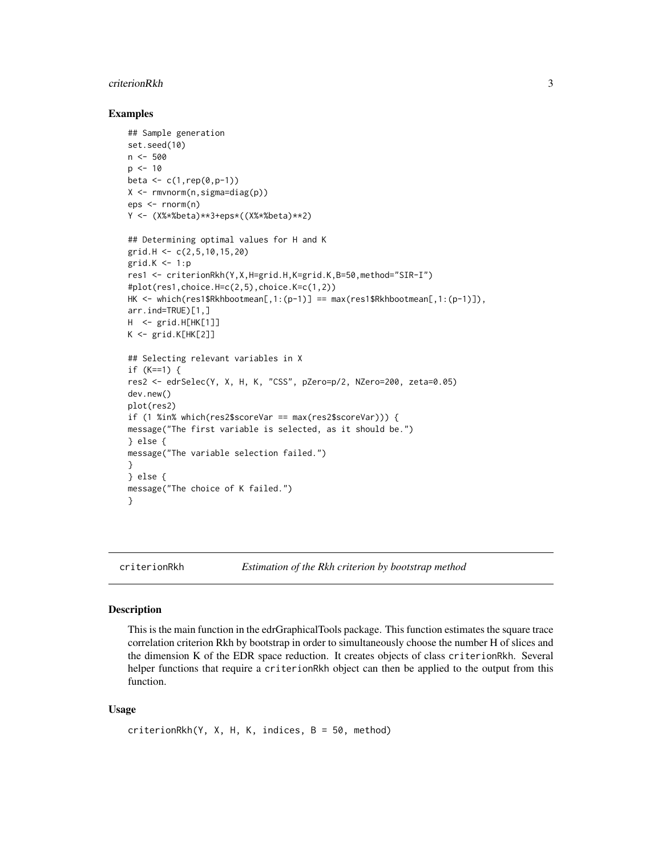#### <span id="page-2-0"></span>criterionRkh 3

## Examples

```
## Sample generation
set.seed(10)
n <- 500
p \le -10beta \leq c(1, rep(0, p-1))X <- rmvnorm(n,sigma=diag(p))
eps <- rnorm(n)
Y <- (X%*%beta)**3+eps*((X%*%beta)**2)
## Determining optimal values for H and K
grid.H <- c(2,5,10,15,20)
grid.K < -1:pres1 <- criterionRkh(Y,X,H=grid.H,K=grid.K,B=50,method="SIR-I")
#plot(res1,choice.H=c(2,5),choice.K=c(1,2))
HK <- which(res1$Rkhbootmean[,1:(p-1)] == max(res1$Rkhbootmean[,1:(p-1)]),
arr.ind=TRUE)[1,]
H <- grid.H[HK[1]]
K <- grid.K[HK[2]]
## Selecting relevant variables in X
if (K==1) {
res2 <- edrSelec(Y, X, H, K, "CSS", pZero=p/2, NZero=200, zeta=0.05)
dev.new()
plot(res2)
if (1 %in% which(res2$scoreVar == max(res2$scoreVar))) {
message("The first variable is selected, as it should be.")
} else {
message("The variable selection failed.")
}
} else {
message("The choice of K failed.")
}
```
<span id="page-2-1"></span>

criterionRkh *Estimation of the Rkh criterion by bootstrap method*

#### Description

This is the main function in the edrGraphicalTools package. This function estimates the square trace correlation criterion Rkh by bootstrap in order to simultaneously choose the number H of slices and the dimension K of the EDR space reduction. It creates objects of class criterionRkh. Several helper functions that require a criterionRkh object can then be applied to the output from this function.

#### Usage

```
criterionRkh(Y, X, H, K, indices, B = 50, method)
```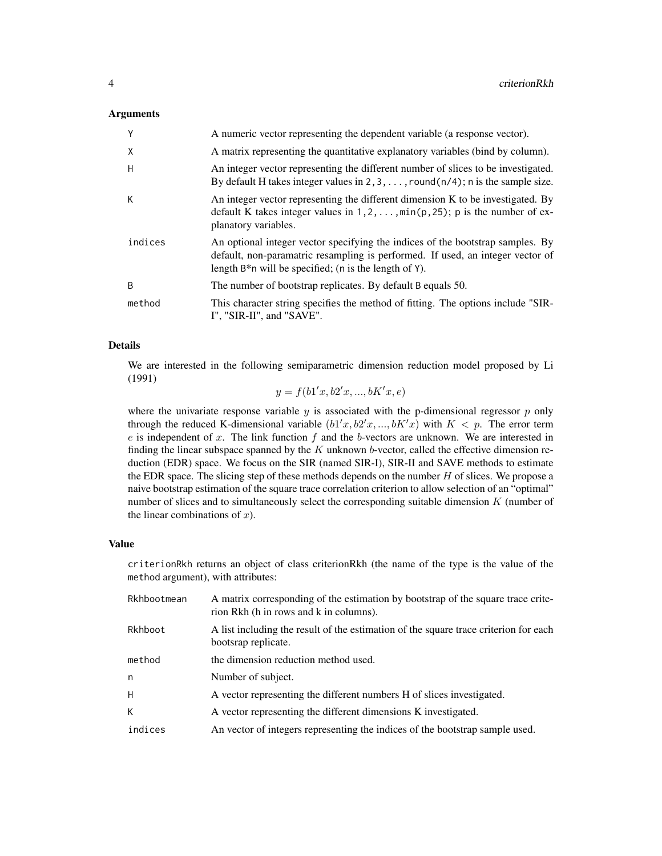#### Arguments

| Y            | A numeric vector representing the dependent variable (a response vector).                                                                                                                                                     |
|--------------|-------------------------------------------------------------------------------------------------------------------------------------------------------------------------------------------------------------------------------|
| X            | A matrix representing the quantitative explanatory variables (bind by column).                                                                                                                                                |
| H            | An integer vector representing the different number of slices to be investigated.<br>By default H takes integer values in $2, 3, \ldots$ , round $(n/4)$ ; n is the sample size.                                              |
| К            | An integer vector representing the different dimension K to be investigated. By<br>default K takes integer values in $1, 2, \ldots$ , $\min(p, 25)$ ; p is the number of ex-<br>planatory variables.                          |
| indices      | An optional integer vector specifying the indices of the bootstrap samples. By<br>default, non-paramatric resampling is performed. If used, an integer vector of<br>length $B^*$ n will be specified; (n is the length of Y). |
| <sub>B</sub> | The number of bootstrap replicates. By default B equals 50.                                                                                                                                                                   |
| method       | This character string specifies the method of fitting. The options include "SIR-<br>I", "SIR-II", and "SAVE".                                                                                                                 |

#### Details

We are interested in the following semiparametric dimension reduction model proposed by Li (1991)

 $y = f(b1'x, b2'x, ..., bK'x, e)$ 

where the univariate response variable  $y$  is associated with the p-dimensional regressor  $p$  only through the reduced K-dimensional variable  $(b1'x, b2'x, ..., bK'x)$  with  $K < p$ . The error term  $e$  is independent of x. The link function  $f$  and the b-vectors are unknown. We are interested in finding the linear subspace spanned by the  $K$  unknown b-vector, called the effective dimension reduction (EDR) space. We focus on the SIR (named SIR-I), SIR-II and SAVE methods to estimate the EDR space. The slicing step of these methods depends on the number  $H$  of slices. We propose a naive bootstrap estimation of the square trace correlation criterion to allow selection of an "optimal" number of slices and to simultaneously select the corresponding suitable dimension  $K$  (number of the linear combinations of  $x$ ).

#### Value

criterionRkh returns an object of class criterionRkh (the name of the type is the value of the method argument), with attributes:

| bootsrap replicate.<br>the dimension reduction method used.<br>Number of subject.<br>A vector representing the different numbers H of slices investigated.<br>A vector representing the different dimensions K investigated.<br>An vector of integers representing the indices of the bootstrap sample used. | Rkhbootmean | A matrix corresponding of the estimation by bootstrap of the square trace crite-<br>rion Rkh (h in rows and k in columns). |
|--------------------------------------------------------------------------------------------------------------------------------------------------------------------------------------------------------------------------------------------------------------------------------------------------------------|-------------|----------------------------------------------------------------------------------------------------------------------------|
|                                                                                                                                                                                                                                                                                                              | Rkhboot     | A list including the result of the estimation of the square trace criterion for each                                       |
|                                                                                                                                                                                                                                                                                                              | method      |                                                                                                                            |
|                                                                                                                                                                                                                                                                                                              | n           |                                                                                                                            |
|                                                                                                                                                                                                                                                                                                              | H           |                                                                                                                            |
|                                                                                                                                                                                                                                                                                                              | K           |                                                                                                                            |
|                                                                                                                                                                                                                                                                                                              | indices     |                                                                                                                            |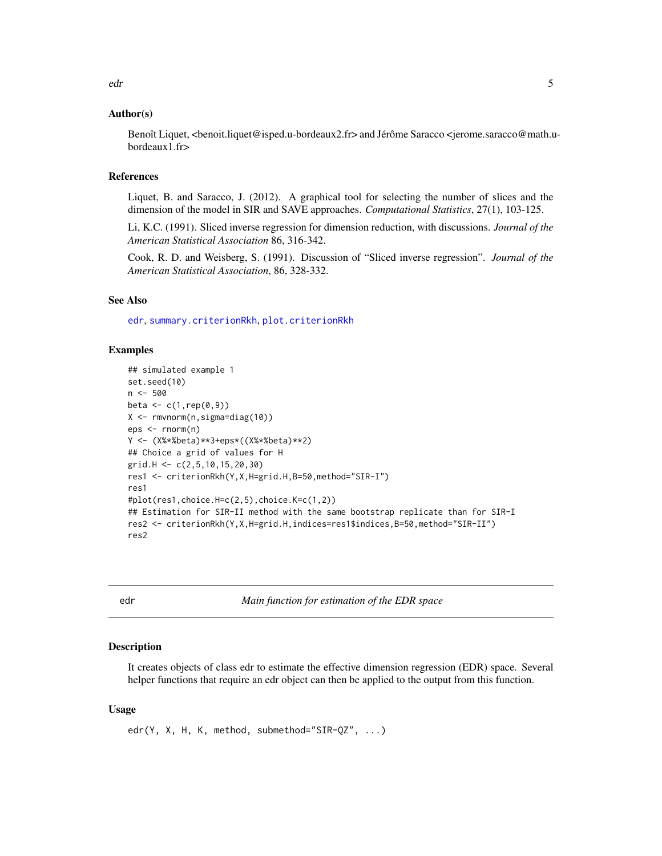## <span id="page-4-0"></span>Author(s)

Benoît Liquet, <br/>benoit.liquet@isped.u-bordeaux2.fr> and Jérôme Saracco <jerome.saracco@math.ubordeaux1.fr>

## References

Liquet, B. and Saracco, J. (2012). A graphical tool for selecting the number of slices and the dimension of the model in SIR and SAVE approaches. *Computational Statistics*, 27(1), 103-125.

Li, K.C. (1991). Sliced inverse regression for dimension reduction, with discussions. *Journal of the American Statistical Association* 86, 316-342.

Cook, R. D. and Weisberg, S. (1991). Discussion of "Sliced inverse regression". *Journal of the American Statistical Association*, 86, 328-332.

## See Also

[edr](#page-4-1), [summary.criterionRkh](#page-17-1), [plot.criterionRkh](#page-11-1)

#### Examples

```
## simulated example 1
set.seed(10)
n <- 500
beta \leftarrow c(1, rep(0, 9))X <- rmvnorm(n,sigma=diag(10))
eps <- rnorm(n)
Y <- (X%*%beta)**3+eps*((X%*%beta)**2)
## Choice a grid of values for H
grid.H <- c(2,5,10,15,20,30)
res1 <- criterionRkh(Y,X,H=grid.H,B=50,method="SIR-I")
res1
#plot(res1,choice.H=c(2,5),choice.K=c(1,2))
## Estimation for SIR-II method with the same bootstrap replicate than for SIR-I
res2 <- criterionRkh(Y,X,H=grid.H,indices=res1$indices,B=50,method="SIR-II")
res2
```
<span id="page-4-1"></span>edr *Main function for estimation of the EDR space*

#### Description

It creates objects of class edr to estimate the effective dimension regression (EDR) space. Several helper functions that require an edr object can then be applied to the output from this function.

#### Usage

edr(Y, X, H, K, method, submethod="SIR-QZ", ...)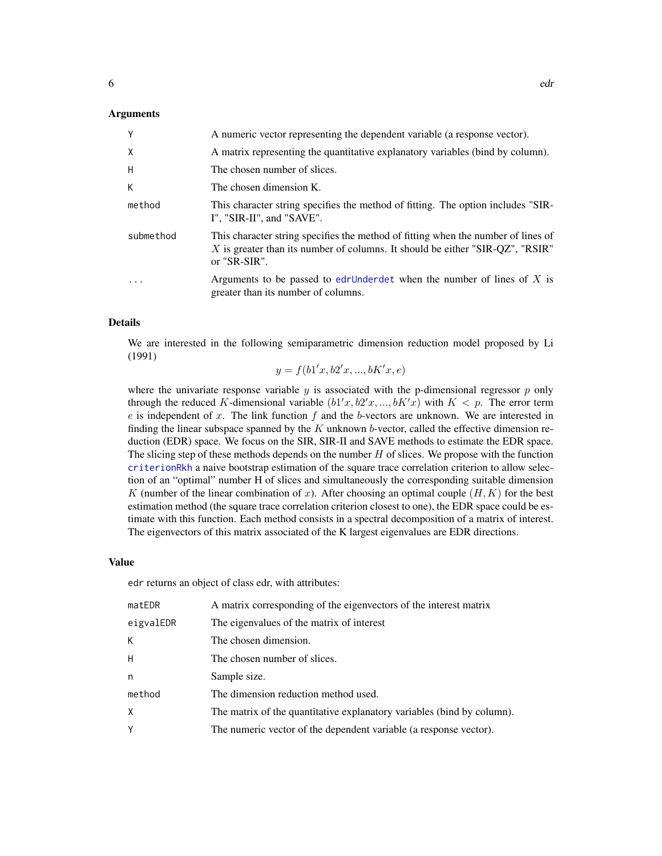#### <span id="page-5-0"></span>Arguments

| Y            | A numeric vector representing the dependent variable (a response vector).                                                                                                          |
|--------------|------------------------------------------------------------------------------------------------------------------------------------------------------------------------------------|
| $\mathsf{X}$ | A matrix representing the quantitative explanatory variables (bind by column).                                                                                                     |
| H            | The chosen number of slices.                                                                                                                                                       |
| К            | The chosen dimension K.                                                                                                                                                            |
| method       | This character string specifies the method of fitting. The option includes "SIR-<br>I", "SIR-II", and "SAVE".                                                                      |
| submethod    | This character string specifies the method of fitting when the number of lines of<br>X is greater than its number of columns. It should be either "SIR-QZ", "RSIR"<br>or "SR-SIR". |
| .            | Arguments to be passed to edrUnderdet when the number of lines of X is<br>greater than its number of columns.                                                                      |

#### Details

We are interested in the following semiparametric dimension reduction model proposed by Li (1991)

 $y = f(b1'x, b2'x, ..., bK'x, e)$ 

where the univariate response variable  $y$  is associated with the p-dimensional regressor  $p$  only through the reduced K-dimensional variable  $(b1'x, b2'x, ..., bK'x)$  with  $K < p$ . The error term  $e$  is independent of x. The link function  $f$  and the b-vectors are unknown. We are interested in finding the linear subspace spanned by the  $K$  unknown  $b$ -vector, called the effective dimension reduction (EDR) space. We focus on the SIR, SIR-II and SAVE methods to estimate the EDR space. The slicing step of these methods depends on the number  $H$  of slices. We propose with the function [criterionRkh](#page-2-1) a naive bootstrap estimation of the square trace correlation criterion to allow selection of an "optimal" number H of slices and simultaneously the corresponding suitable dimension K (number of the linear combination of x). After choosing an optimal couple  $(H, K)$  for the best estimation method (the square trace correlation criterion closest to one), the EDR space could be estimate with this function. Each method consists in a spectral decomposition of a matrix of interest. The eigenvectors of this matrix associated of the K largest eigenvalues are EDR directions.

#### Value

edr returns an object of class edr, with attributes:

| matEDR    | A matrix corresponding of the eigenvectors of the interest matrix      |
|-----------|------------------------------------------------------------------------|
| eigvalEDR | The eigenvalues of the matrix of interest                              |
| K         | The chosen dimension.                                                  |
| Н.        | The chosen number of slices.                                           |
| n         | Sample size.                                                           |
| method    | The dimension reduction method used.                                   |
| Χ         | The matrix of the quantitative explanatory variables (bind by column). |
| Y         | The numeric vector of the dependent variable (a response vector).      |
|           |                                                                        |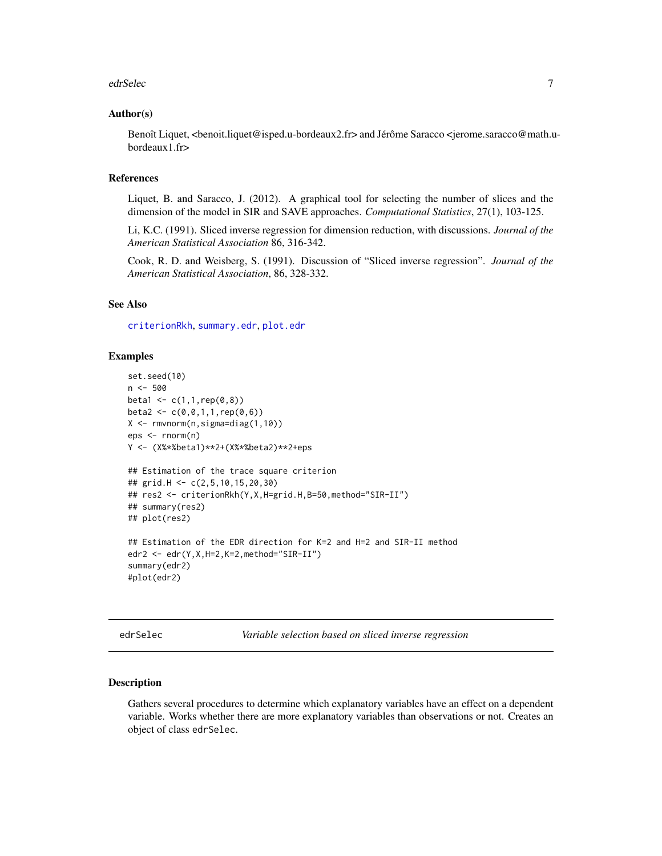#### <span id="page-6-0"></span>edrSelec 7 and 2008 and 2009 and 2009 and 2009 and 2009 and 2009 and 2009 and 2009 and 2009 and 2009 and 2009  $\sigma$

#### Author(s)

Benoît Liquet, <br/>benoit.liquet@isped.u-bordeaux2.fr> and Jérôme Saracco <jerome.saracco@math.ubordeaux1.fr>

## References

Liquet, B. and Saracco, J. (2012). A graphical tool for selecting the number of slices and the dimension of the model in SIR and SAVE approaches. *Computational Statistics*, 27(1), 103-125.

Li, K.C. (1991). Sliced inverse regression for dimension reduction, with discussions. *Journal of the American Statistical Association* 86, 316-342.

Cook, R. D. and Weisberg, S. (1991). Discussion of "Sliced inverse regression". *Journal of the American Statistical Association*, 86, 328-332.

#### See Also

[criterionRkh](#page-2-1), [summary.edr](#page-17-2), [plot.edr](#page-12-1)

### Examples

```
set.seed(10)
n <- 500
beta1 <- c(1,1, rep(0,8))beta2 <- c(0, 0, 1, 1, rep(0, 6))X <- rmvnorm(n,sigma=diag(1,10))
eps <- rnorm(n)
Y <- (X%*%beta1)**2+(X%*%beta2)**2+eps
## Estimation of the trace square criterion
## grid.H <- c(2,5,10,15,20,30)
## res2 <- criterionRkh(Y,X,H=grid.H,B=50,method="SIR-II")
## summary(res2)
## plot(res2)
## Estimation of the EDR direction for K=2 and H=2 and SIR-II method
edr2 <- edr(Y,X,H=2,K=2,method="SIR-II")
summary(edr2)
#plot(edr2)
```
<span id="page-6-1"></span>edrSelec *Variable selection based on sliced inverse regression*

#### Description

Gathers several procedures to determine which explanatory variables have an effect on a dependent variable. Works whether there are more explanatory variables than observations or not. Creates an object of class edrSelec.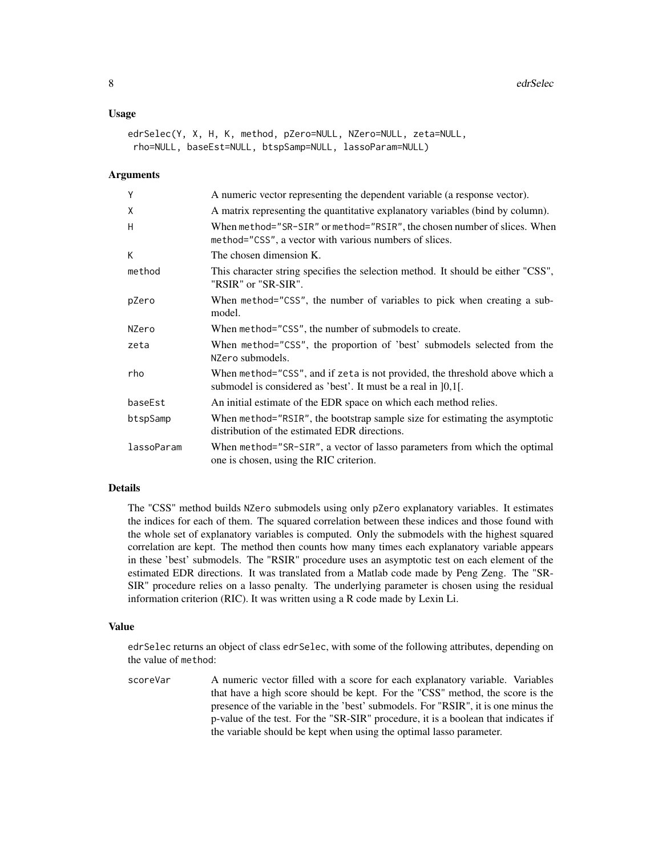#### Usage

```
edrSelec(Y, X, H, K, method, pZero=NULL, NZero=NULL, zeta=NULL,
rho=NULL, baseEst=NULL, btspSamp=NULL, lassoParam=NULL)
```
#### Arguments

| Y          | A numeric vector representing the dependent variable (a response vector).                                                                       |
|------------|-------------------------------------------------------------------------------------------------------------------------------------------------|
| X          | A matrix representing the quantitative explanatory variables (bind by column).                                                                  |
| H          | When method="SR-SIR" or method="RSIR", the chosen number of slices. When<br>method="CSS", a vector with various numbers of slices.              |
| К          | The chosen dimension K.                                                                                                                         |
| method     | This character string specifies the selection method. It should be either "CSS",<br>"RSIR" or "SR-SIR".                                         |
| pZero      | When method="CSS", the number of variables to pick when creating a sub-<br>model.                                                               |
| NZero      | When method="CSS", the number of submodels to create.                                                                                           |
| zeta       | When method="CSS", the proportion of 'best' submodels selected from the<br>NZero submodels.                                                     |
| rho        | When method="CSS", and if zeta is not provided, the threshold above which a<br>submodel is considered as 'best'. It must be a real in $[0,1]$ . |
| baseEst    | An initial estimate of the EDR space on which each method relies.                                                                               |
| btspSamp   | When method="RSIR", the bootstrap sample size for estimating the asymptotic<br>distribution of the estimated EDR directions.                    |
| lassoParam | When method="SR-SIR", a vector of lasso parameters from which the optimal<br>one is chosen, using the RIC criterion.                            |

## Details

The "CSS" method builds NZero submodels using only pZero explanatory variables. It estimates the indices for each of them. The squared correlation between these indices and those found with the whole set of explanatory variables is computed. Only the submodels with the highest squared correlation are kept. The method then counts how many times each explanatory variable appears in these 'best' submodels. The "RSIR" procedure uses an asymptotic test on each element of the estimated EDR directions. It was translated from a Matlab code made by Peng Zeng. The "SR-SIR" procedure relies on a lasso penalty. The underlying parameter is chosen using the residual information criterion (RIC). It was written using a R code made by Lexin Li.

#### Value

edrSelec returns an object of class edrSelec, with some of the following attributes, depending on the value of method:

scoreVar A numeric vector filled with a score for each explanatory variable. Variables that have a high score should be kept. For the "CSS" method, the score is the presence of the variable in the 'best' submodels. For "RSIR", it is one minus the p-value of the test. For the "SR-SIR" procedure, it is a boolean that indicates if the variable should be kept when using the optimal lasso parameter.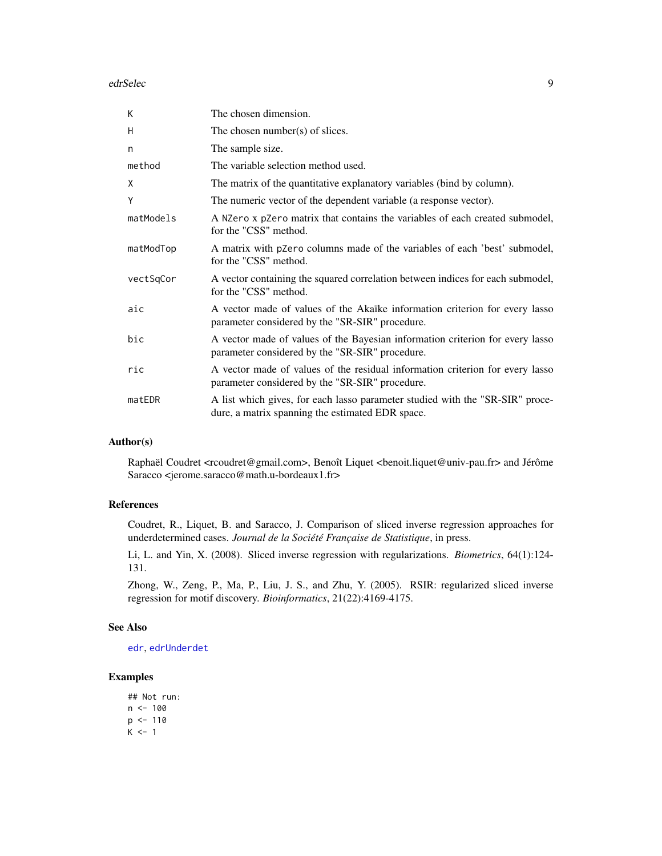#### <span id="page-8-0"></span>edrSelec 99 and 200 million and 200 million and 200 million and 200 million and 200 million and 200 million and 200 million and 200 million and 200 million and 200 million and 200 million and 200 million and 200 million an

| К         | The chosen dimension.                                                                                                             |
|-----------|-----------------------------------------------------------------------------------------------------------------------------------|
| H         | The chosen number(s) of slices.                                                                                                   |
| n         | The sample size.                                                                                                                  |
| method    | The variable selection method used.                                                                                               |
| X         | The matrix of the quantitative explanatory variables (bind by column).                                                            |
| Y         | The numeric vector of the dependent variable (a response vector).                                                                 |
| matModels | A NZero x pZero matrix that contains the variables of each created submodel,<br>for the "CSS" method.                             |
| matModTop | A matrix with pzero columns made of the variables of each 'best' submodel,<br>for the "CSS" method.                               |
| vectSqCor | A vector containing the squared correlation between indices for each submodel,<br>for the "CSS" method.                           |
| aic       | A vector made of values of the Akaïke information criterion for every lasso<br>parameter considered by the "SR-SIR" procedure.    |
| bic       | A vector made of values of the Bayesian information criterion for every lasso<br>parameter considered by the "SR-SIR" procedure.  |
| ric       | A vector made of values of the residual information criterion for every lasso<br>parameter considered by the "SR-SIR" procedure.  |
| matEDR    | A list which gives, for each lasso parameter studied with the "SR-SIR" proce-<br>dure, a matrix spanning the estimated EDR space. |

## Author(s)

Raphaël Coudret <rcoudret@gmail.com>, Benoît Liquet <benoit.liquet@univ-pau.fr> and Jérôme Saracco <jerome.saracco@math.u-bordeaux1.fr>

## References

Coudret, R., Liquet, B. and Saracco, J. Comparison of sliced inverse regression approaches for underdetermined cases. *Journal de la Société Française de Statistique*, in press.

Li, L. and Yin, X. (2008). Sliced inverse regression with regularizations. *Biometrics*, 64(1):124- 131.

Zhong, W., Zeng, P., Ma, P., Liu, J. S., and Zhu, Y. (2005). RSIR: regularized sliced inverse regression for motif discovery. *Bioinformatics*, 21(22):4169-4175.

#### See Also

[edr](#page-4-1), [edrUnderdet](#page-9-1)

## Examples

```
## Not run:
n < - 100p <- 110
K < -1
```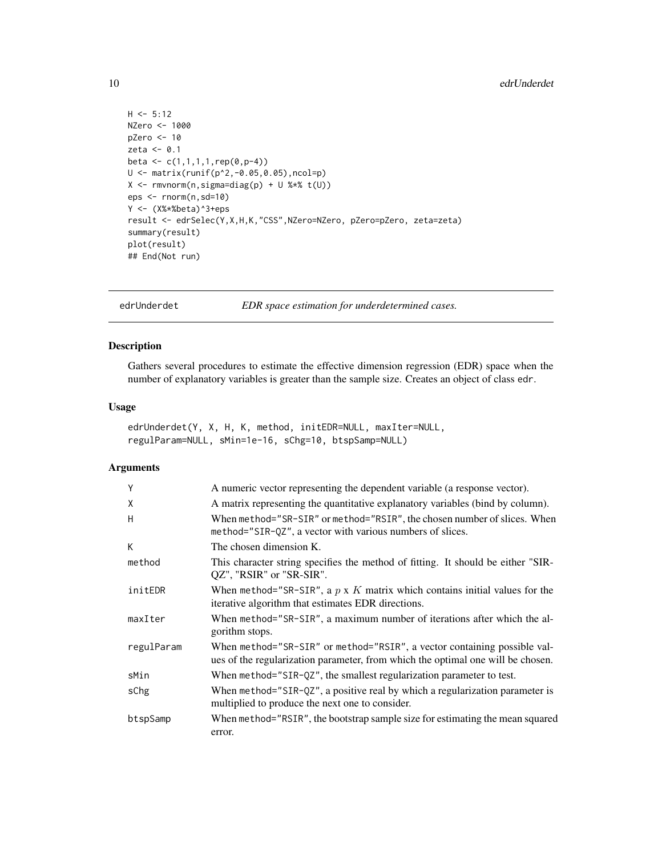```
H < -5:12NZero <- 1000
pZero <- 10
zeta <- 0.1
beta <- c(1,1,1,1,1,rep(0,p-4))U <- matrix(runif(p^2,-0.05,0.05),ncol=p)
X \leftarrow \text{rmvnorm}(n, \text{sigma=diag}(p) + U \text{***} t(U))eps <- rnorm(n,sd=10)
Y <- (X%*%beta)^3+eps
result <- edrSelec(Y,X,H,K,"CSS",NZero=NZero, pZero=pZero, zeta=zeta)
summary(result)
plot(result)
## End(Not run)
```
<span id="page-9-1"></span>edrUnderdet *EDR space estimation for underdetermined cases.*

## Description

Gathers several procedures to estimate the effective dimension regression (EDR) space when the number of explanatory variables is greater than the sample size. Creates an object of class edr.

#### Usage

```
edrUnderdet(Y, X, H, K, method, initEDR=NULL, maxIter=NULL,
regulParam=NULL, sMin=1e-16, sChg=10, btspSamp=NULL)
```

| Υ          | A numeric vector representing the dependent variable (a response vector).                                                                                   |
|------------|-------------------------------------------------------------------------------------------------------------------------------------------------------------|
| X          | A matrix representing the quantitative explanatory variables (bind by column).                                                                              |
| н          | When method="SR-SIR" or method="RSIR", the chosen number of slices. When<br>method="SIR-QZ", a vector with various numbers of slices.                       |
| K          | The chosen dimension K.                                                                                                                                     |
| method     | This character string specifies the method of fitting. It should be either "SIR-<br>QZ", "RSIR" or "SR-SIR".                                                |
| initEDR    | When method="SR-SIR", a $p \times K$ matrix which contains initial values for the<br>iterative algorithm that estimates EDR directions.                     |
| maxIter    | When method="SR-SIR", a maximum number of iterations after which the al-<br>gorithm stops.                                                                  |
| regulParam | When method="SR-SIR" or method="RSIR", a vector containing possible val-<br>ues of the regularization parameter, from which the optimal one will be chosen. |
| sMin       | When method="SIR-QZ", the smallest regularization parameter to test.                                                                                        |
| sChg       | When method="SIR-QZ", a positive real by which a regularization parameter is<br>multiplied to produce the next one to consider.                             |
| btspSamp   | When method="RSIR", the bootstrap sample size for estimating the mean squared<br>error.                                                                     |

<span id="page-9-0"></span>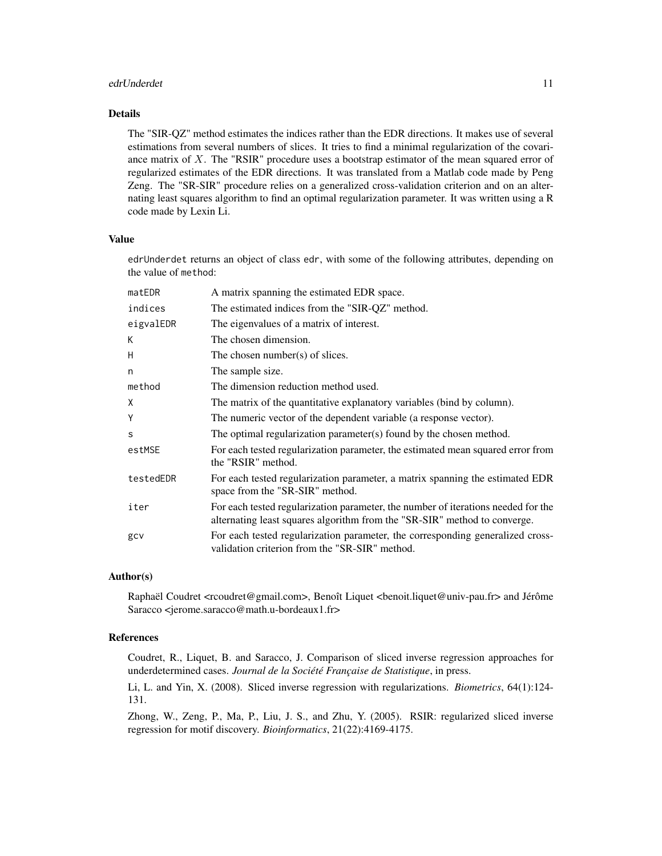#### edrUnderdet 11 auction 12 auction 12 auction 12 auction 12 auction 12 auction 12 auction 12 auction 12 auction 12 auction 12 auction 12 auction 12 auction 12 auction 12 auction 12 auction 12 auction 12 auction 12 auction 1

## Details

The "SIR-QZ" method estimates the indices rather than the EDR directions. It makes use of several estimations from several numbers of slices. It tries to find a minimal regularization of the covariance matrix of  $X$ . The "RSIR" procedure uses a bootstrap estimator of the mean squared error of regularized estimates of the EDR directions. It was translated from a Matlab code made by Peng Zeng. The "SR-SIR" procedure relies on a generalized cross-validation criterion and on an alternating least squares algorithm to find an optimal regularization parameter. It was written using a R code made by Lexin Li.

#### Value

edrUnderdet returns an object of class edr, with some of the following attributes, depending on the value of method:

| matEDR    | A matrix spanning the estimated EDR space.                                                                                                                     |
|-----------|----------------------------------------------------------------------------------------------------------------------------------------------------------------|
| indices   | The estimated indices from the "SIR-QZ" method.                                                                                                                |
| eigvalEDR | The eigenvalues of a matrix of interest.                                                                                                                       |
| K         | The chosen dimension.                                                                                                                                          |
| Η         | The chosen number(s) of slices.                                                                                                                                |
| n         | The sample size.                                                                                                                                               |
| method    | The dimension reduction method used.                                                                                                                           |
| Χ         | The matrix of the quantitative explanatory variables (bind by column).                                                                                         |
| Υ         | The numeric vector of the dependent variable (a response vector).                                                                                              |
| S         | The optimal regularization parameter(s) found by the chosen method.                                                                                            |
| estMSE    | For each tested regularization parameter, the estimated mean squared error from<br>the "RSIR" method.                                                          |
| testedEDR | For each tested regularization parameter, a matrix spanning the estimated EDR<br>space from the "SR-SIR" method.                                               |
| iter      | For each tested regularization parameter, the number of iterations needed for the<br>alternating least squares algorithm from the "SR-SIR" method to converge. |
| gcv       | For each tested regularization parameter, the corresponding generalized cross-<br>validation criterion from the "SR-SIR" method.                               |

## Author(s)

Raphaël Coudret <rcoudret@gmail.com>, Benoît Liquet <benoit.liquet@univ-pau.fr> and Jérôme Saracco <jerome.saracco@math.u-bordeaux1.fr>

# References

Coudret, R., Liquet, B. and Saracco, J. Comparison of sliced inverse regression approaches for underdetermined cases. *Journal de la Société Française de Statistique*, in press.

Li, L. and Yin, X. (2008). Sliced inverse regression with regularizations. *Biometrics*, 64(1):124- 131.

Zhong, W., Zeng, P., Ma, P., Liu, J. S., and Zhu, Y. (2005). RSIR: regularized sliced inverse regression for motif discovery. *Bioinformatics*, 21(22):4169-4175.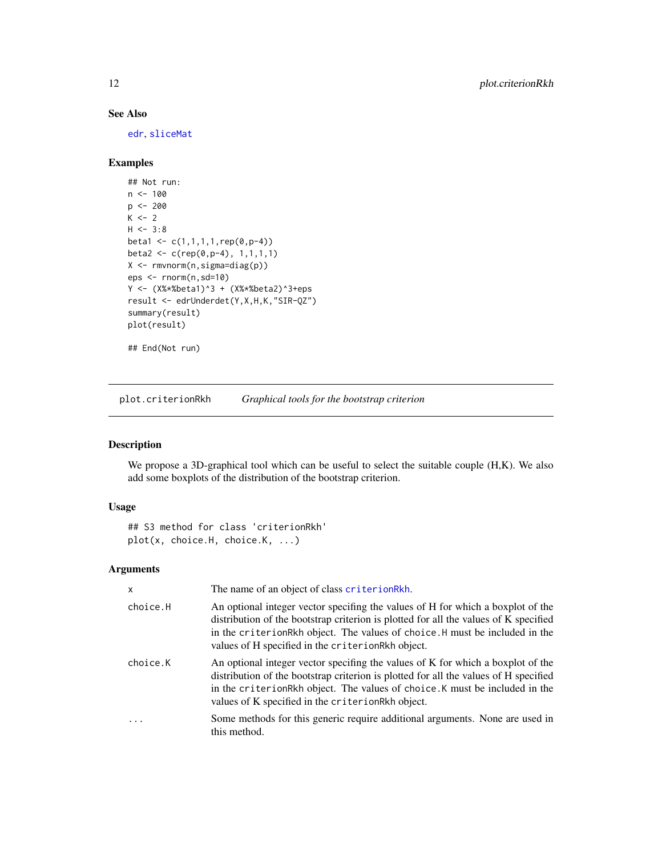## See Also

[edr](#page-4-1), [sliceMat](#page-15-1)

## Examples

```
## Not run:
n < -100p <- 200
K \leftarrow 2H < -3:8beta1 <- c(1,1,1,1,rep(0,p-4))
beta2 <- c(rep(0,p-4), 1,1,1,1)
X <- rmvnorm(n,sigma=diag(p))
eps <- rnorm(n,sd=10)
Y <- (X%*%beta1)^3 + (X%*%beta2)^3+eps
result <- edrUnderdet(Y,X,H,K,"SIR-QZ")
summary(result)
plot(result)
```
## End(Not run)

<span id="page-11-1"></span>plot.criterionRkh *Graphical tools for the bootstrap criterion*

## Description

We propose a 3D-graphical tool which can be useful to select the suitable couple (H,K). We also add some boxplots of the distribution of the bootstrap criterion.

## Usage

```
## S3 method for class 'criterionRkh'
plot(x, choice.H, choice.K, ...)
```

| $\mathsf{x}$ | The name of an object of class criterionRkh.                                                                                                                                                                                                                                                                |
|--------------|-------------------------------------------------------------------------------------------------------------------------------------------------------------------------------------------------------------------------------------------------------------------------------------------------------------|
| choice.H     | An optional integer vector specifing the values of H for which a boxplot of the<br>distribution of the bootstrap criterion is plotted for all the values of K specified<br>in the criterionRkh object. The values of choice. H must be included in the<br>values of H specified in the criterionRkh object. |
| choice.K     | An optional integer vector specifing the values of K for which a boxplot of the<br>distribution of the bootstrap criterion is plotted for all the values of H specified<br>in the criterionRkh object. The values of choice. K must be included in the<br>values of K specified in the criterionRkh object. |
| $\cdot$      | Some methods for this generic require additional arguments. None are used in<br>this method.                                                                                                                                                                                                                |

<span id="page-11-0"></span>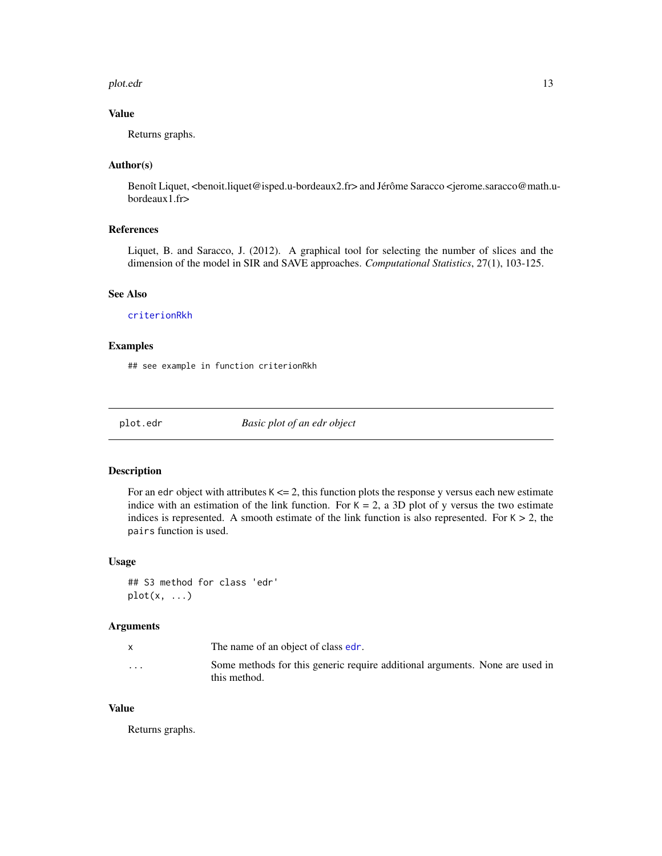#### <span id="page-12-0"></span>plot.edr 13

## Value

Returns graphs.

## Author(s)

Benoît Liquet, <br/>benoit.liquet@isped.u-bordeaux2.fr> and Jérôme Saracco <jerome.saracco@math.ubordeaux1.fr>

## References

Liquet, B. and Saracco, J. (2012). A graphical tool for selecting the number of slices and the dimension of the model in SIR and SAVE approaches. *Computational Statistics*, 27(1), 103-125.

#### See Also

[criterionRkh](#page-2-1)

## Examples

## see example in function criterionRkh

<span id="page-12-1"></span>plot.edr *Basic plot of an edr object*

#### Description

For an edr object with attributes  $K \le 2$ , this function plots the response y versus each new estimate indice with an estimation of the link function. For  $K = 2$ , a 3D plot of y versus the two estimate indices is represented. A smooth estimate of the link function is also represented. For  $K > 2$ , the pairs function is used.

#### Usage

```
## S3 method for class 'edr'
plot(x, \ldots)
```
## Arguments

|         | The name of an object of class edr.                                          |
|---------|------------------------------------------------------------------------------|
| $\cdot$ | Some methods for this generic require additional arguments. None are used in |
|         | this method.                                                                 |

## Value

Returns graphs.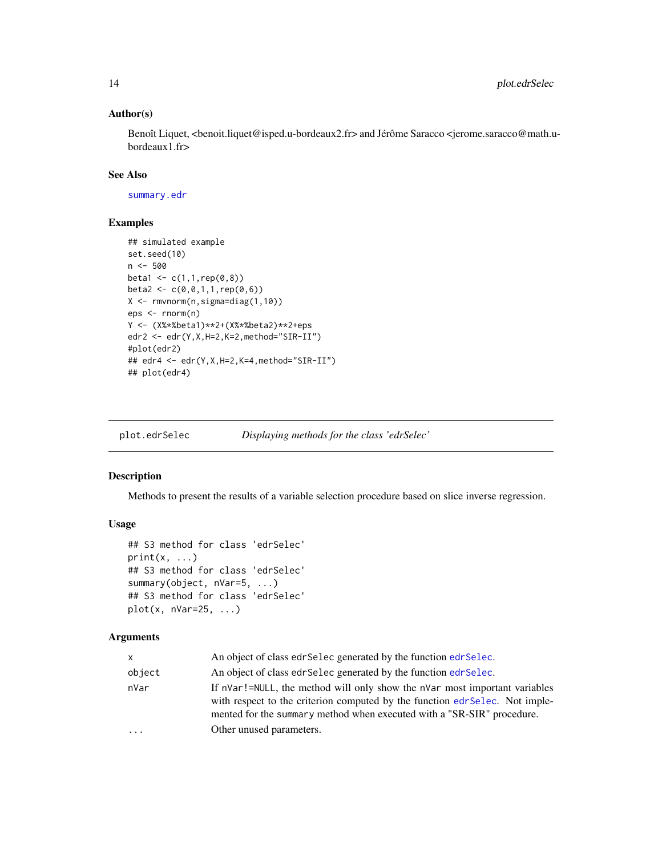## <span id="page-13-0"></span>Author(s)

Benoît Liquet, <br/>benoit.liquet@isped.u-bordeaux2.fr> and Jérôme Saracco <jerome.saracco@math.ubordeaux1.fr>

## See Also

[summary.edr](#page-17-2)

### Examples

```
## simulated example
set.seed(10)
n < -500beta1 <- c(1,1,rep(0,8))
beta2 <- c(\emptyset, \emptyset, 1, 1, rep(\emptyset, 6))X <- rmvnorm(n,sigma=diag(1,10))
eps <- rnorm(n)
Y <- (X%*%beta1)**2+(X%*%beta2)**2+eps
edr2 <- edr(Y,X,H=2,K=2,method="SIR-II")
#plot(edr2)
## edr4 <- edr(Y,X,H=2,K=4,method="SIR-II")
## plot(edr4)
```
plot.edrSelec *Displaying methods for the class 'edrSelec'*

#### Description

Methods to present the results of a variable selection procedure based on slice inverse regression.

#### Usage

```
## S3 method for class 'edrSelec'
print(x, \ldots)## S3 method for class 'edrSelec'
summary(object, nVar=5, ...)
## S3 method for class 'edrSelec'
plot(x, nVar=25, ...)
```

| x      | An object of class edr Selec generated by the function edr Selec.                                                                                                                                                                    |
|--------|--------------------------------------------------------------------------------------------------------------------------------------------------------------------------------------------------------------------------------------|
| object | An object of class edr Selec generated by the function edr Selec.                                                                                                                                                                    |
| nVar   | If nVar!=NULL, the method will only show the nVar most important variables<br>with respect to the criterion computed by the function edr Selec. Not imple-<br>mented for the summary method when executed with a "SR-SIR" procedure. |
| .      | Other unused parameters.                                                                                                                                                                                                             |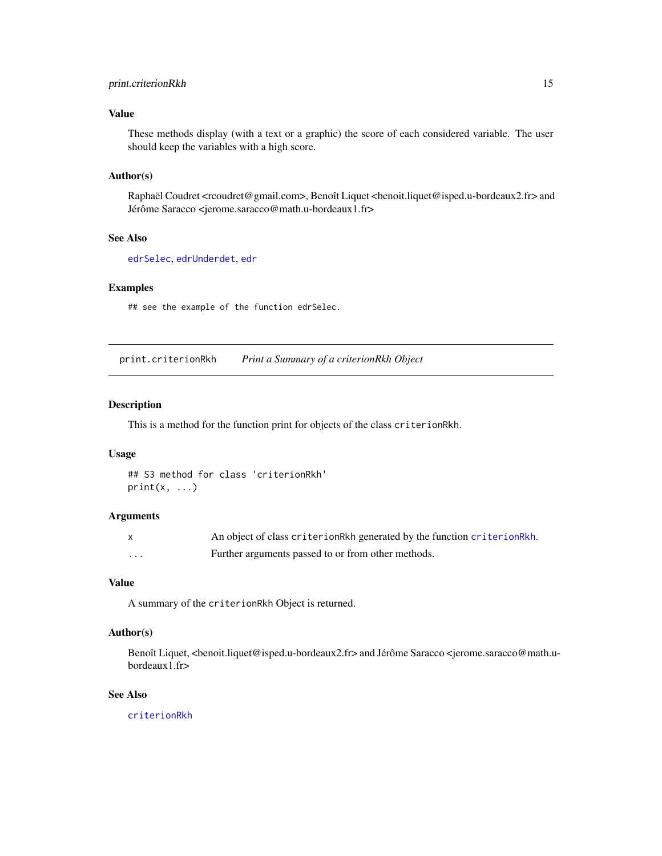## <span id="page-14-0"></span>print.criterionRkh 15

## Value

These methods display (with a text or a graphic) the score of each considered variable. The user should keep the variables with a high score.

#### Author(s)

Raphaël Coudret <rcoudret@gmail.com>, Benoît Liquet <benoit.liquet@isped.u-bordeaux2.fr> and Jérôme Saracco <jerome.saracco@math.u-bordeaux1.fr>

# See Also

[edrSelec](#page-6-1), [edrUnderdet](#page-9-1), [edr](#page-4-1)

#### Examples

## see the example of the function edrSelec.

print.criterionRkh *Print a Summary of a criterionRkh Object*

## Description

This is a method for the function print for objects of the class criterionRkh.

#### Usage

```
## S3 method for class 'criterionRkh'
print(x, \ldots)
```
#### Arguments

|   | An object of class criterionRkh generated by the function criterionRkh. |
|---|-------------------------------------------------------------------------|
| . | Further arguments passed to or from other methods.                      |

## Value

A summary of the criterionRkh Object is returned.

#### Author(s)

Benoît Liquet, <br/>benoit.liquet@isped.u-bordeaux2.fr> and Jérôme Saracco <jerome.saracco@math.ubordeaux1.fr>

## See Also

[criterionRkh](#page-2-1)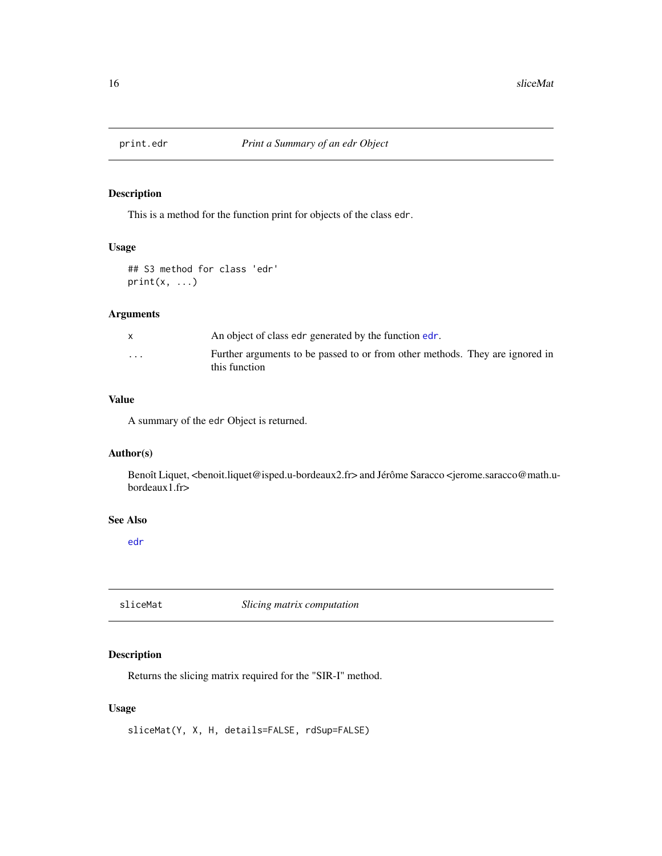<span id="page-15-0"></span>

## Description

This is a method for the function print for objects of the class edr.

#### Usage

## S3 method for class 'edr'  $print(x, \ldots)$ 

## Arguments

|         | An object of class edr generated by the function edr.                                         |
|---------|-----------------------------------------------------------------------------------------------|
| $\cdot$ | Further arguments to be passed to or from other methods. They are ignored in<br>this function |

## Value

A summary of the edr Object is returned.

## Author(s)

Benoît Liquet, <benoit.liquet@isped.u-bordeaux2.fr> and Jérôme Saracco <jerome.saracco@math.ubordeaux1.fr>

#### See Also

[edr](#page-4-1)

<span id="page-15-1"></span>sliceMat *Slicing matrix computation*

## Description

Returns the slicing matrix required for the "SIR-I" method.

## Usage

sliceMat(Y, X, H, details=FALSE, rdSup=FALSE)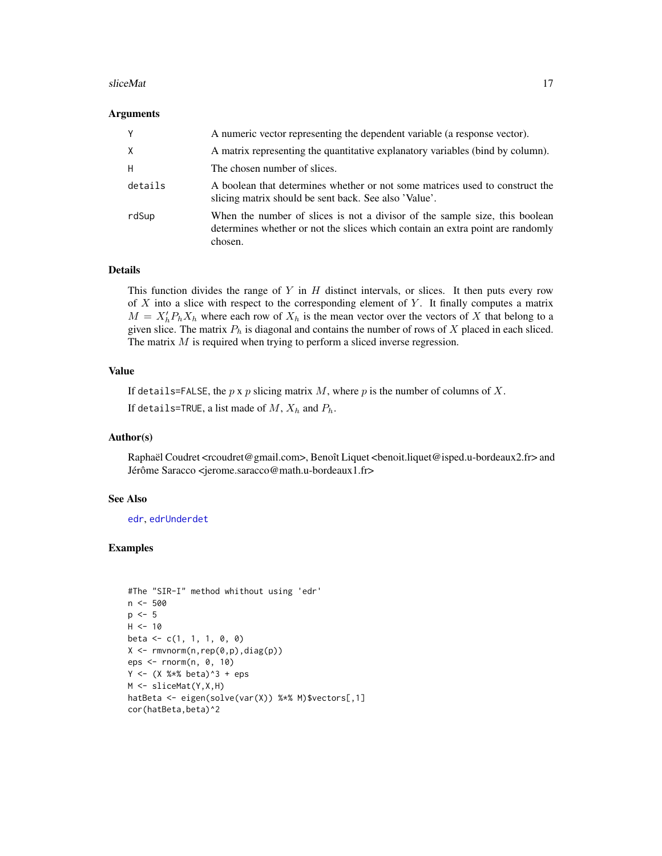#### <span id="page-16-0"></span>sliceMat 17

#### Arguments

| Y        | A numeric vector representing the dependent variable (a response vector).                                                                                                |
|----------|--------------------------------------------------------------------------------------------------------------------------------------------------------------------------|
| $\times$ | A matrix representing the quantitative explanatory variables (bind by column).                                                                                           |
| H        | The chosen number of slices.                                                                                                                                             |
| details  | A boolean that determines whether or not some matrices used to construct the<br>slicing matrix should be sent back. See also 'Value'.                                    |
| rdSup    | When the number of slices is not a divisor of the sample size, this boolean<br>determines whether or not the slices which contain an extra point are randomly<br>chosen. |

#### Details

This function divides the range of Y in  $H$  distinct intervals, or slices. It then puts every row of  $X$  into a slice with respect to the corresponding element of  $Y$ . It finally computes a matrix  $M = X_h' P_h X_h$  where each row of  $X_h$  is the mean vector over the vectors of X that belong to a given slice. The matrix  $P_h$  is diagonal and contains the number of rows of X placed in each sliced. The matrix M is required when trying to perform a sliced inverse regression.

#### Value

If details=FALSE, the  $p \times p$  slicing matrix  $M$ , where  $p$  is the number of columns of  $X$ .

If details=TRUE, a list made of  $M$ ,  $X_h$  and  $P_h$ .

#### Author(s)

Raphaël Coudret <rcoudret@gmail.com>, Benoît Liquet <benoit.liquet@isped.u-bordeaux2.fr> and Jérôme Saracco <jerome.saracco@math.u-bordeaux1.fr>

#### See Also

[edr](#page-4-1), [edrUnderdet](#page-9-1)

## Examples

```
#The "SIR-I" method whithout using 'edr'
n <- 500
p \le -5H < -10beta \leq c(1, 1, 1, 0, 0)X \leftarrow \text{rmvnorm}(n, \text{rep}(0, p), \text{diag}(p))eps <- rnorm(n, 0, 10)
Y \le - (X % * % * beta)^3 + epsM <- sliceMat(Y,X,H)
hatBeta <- eigen(solve(var(X)) %*% M)$vectors[,1]
cor(hatBeta,beta)^2
```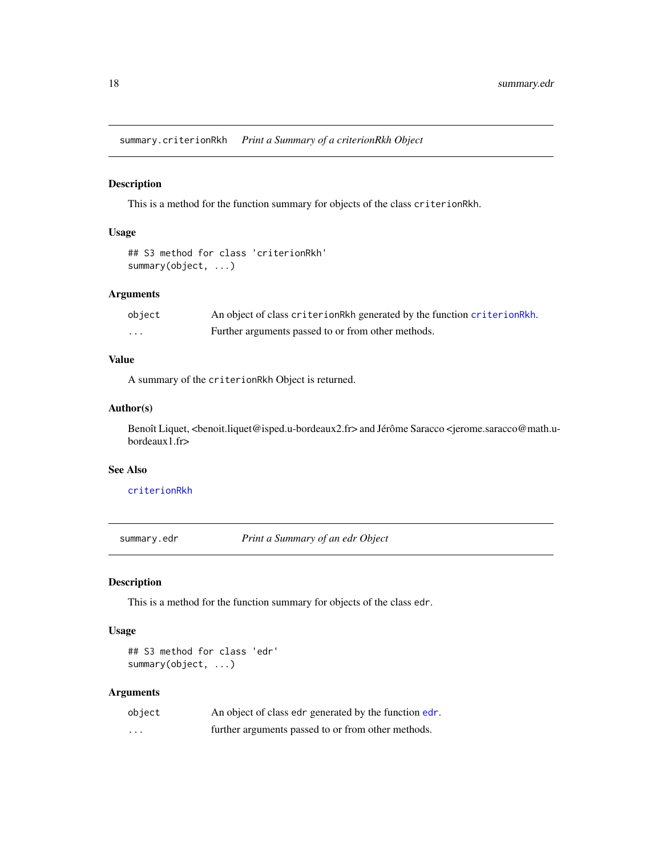<span id="page-17-1"></span><span id="page-17-0"></span>summary.criterionRkh *Print a Summary of a criterionRkh Object*

## Description

This is a method for the function summary for objects of the class criterionRkh.

## Usage

```
## S3 method for class 'criterionRkh'
summary(object, ...)
```
## Arguments

| object | An object of class criterion Rkh generated by the function criterion Rkh. |
|--------|---------------------------------------------------------------------------|
| .      | Further arguments passed to or from other methods.                        |

#### Value

A summary of the criterionRkh Object is returned.

#### Author(s)

Benoît Liquet, <br/>benoit.liquet@isped.u-bordeaux2.fr> and Jérôme Saracco <jerome.saracco@math.ubordeaux1.fr>

#### See Also

[criterionRkh](#page-2-1)

<span id="page-17-2"></span>summary.edr *Print a Summary of an edr Object*

## Description

This is a method for the function summary for objects of the class edr.

## Usage

```
## S3 method for class 'edr'
summary(object, ...)
```

| object | An object of class edr generated by the function edr. |
|--------|-------------------------------------------------------|
| .      | further arguments passed to or from other methods.    |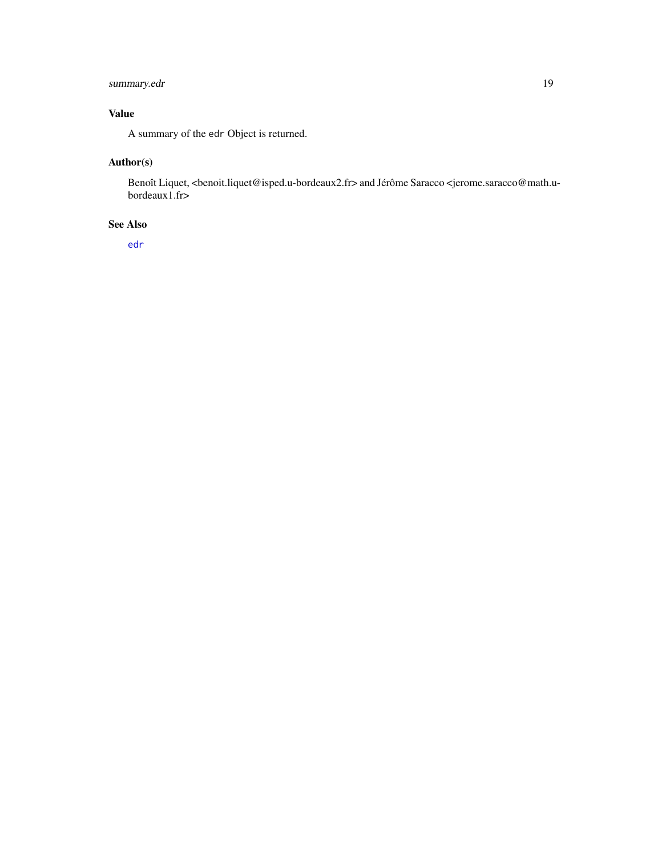# <span id="page-18-0"></span>summary.edr 19

# Value

A summary of the edr Object is returned.

# Author(s)

Benoît Liquet, <br/>benoit.liquet@isped.u-bordeaux2.fr> and Jérôme Saracco <</a>jerome.saracco@math.ubordeaux1.fr>

# See Also

[edr](#page-4-1)